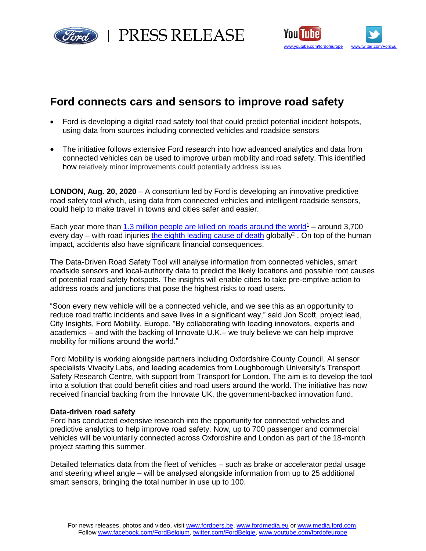

rd | PRESS RELEASE



# **Ford connects cars and sensors to improve road safety**

- Ford is developing a digital road safety tool that could predict potential incident hotspots, using data from sources including connected vehicles and roadside sensors
- The initiative follows extensive Ford research into how advanced analytics and data from connected vehicles can be used to improve urban mobility and road safety. This identified how relatively minor improvements could potentially address issues

**LONDON, Aug. 20, 2020** – A consortium led by Ford is developing an innovative predictive road safety tool which, using data from connected vehicles and intelligent roadside sensors, could help to make travel in towns and cities safer and easier.

Each year more than [1.3 million people are killed on roads around the world](https://www.who.int/news-room/fact-sheets/detail/road-traffic-injuries)<sup>1</sup> – around 3,700 every day – with road injuries [the eighth leading cause of death](https://www.who.int/news-room/fact-sheets/detail/the-top-10-causes-of-death) globally<sup>2</sup>. On top of the human impact, accidents also have significant financial consequences.

The Data-Driven Road Safety Tool will analyse information from connected vehicles, smart roadside sensors and local-authority data to predict the likely locations and possible root causes of potential road safety hotspots. The insights will enable cities to take pre-emptive action to address roads and junctions that pose the highest risks to road users.

"Soon every new vehicle will be a connected vehicle, and we see this as an opportunity to reduce road traffic incidents and save lives in a significant way," said Jon Scott, project lead, City Insights, Ford Mobility, Europe. "By collaborating with leading innovators, experts and academics – and with the backing of Innovate U.K.– we truly believe we can help improve mobility for millions around the world."

Ford Mobility is working alongside partners including Oxfordshire County Council, AI sensor specialists Vivacity Labs, and leading academics from Loughborough University's Transport Safety Research Centre, with support from Transport for London. The aim is to develop the tool into a solution that could benefit cities and road users around the world. The initiative has now received financial backing from the Innovate UK, the government-backed innovation fund.

# **Data-driven road safety**

Ford has conducted extensive research into the opportunity for connected vehicles and predictive analytics to help improve road safety. Now, up to 700 passenger and commercial vehicles will be voluntarily connected across Oxfordshire and London as part of the 18-month project starting this summer.

Detailed telematics data from the fleet of vehicles – such as brake or accelerator pedal usage and steering wheel angle – will be analysed alongside information from up to 25 additional smart sensors, bringing the total number in use up to 100.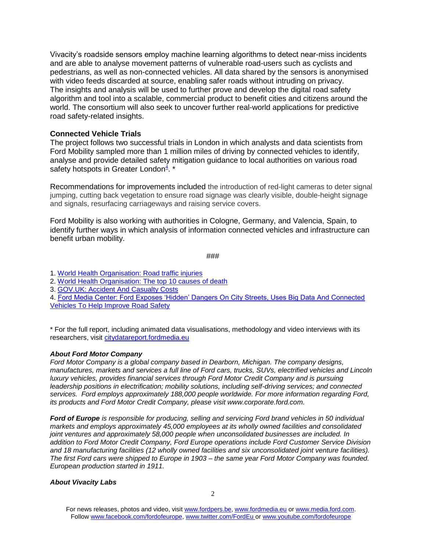Vivacity's roadside sensors employ machine learning algorithms to detect near-miss incidents and are able to analyse movement patterns of vulnerable road-users such as cyclists and pedestrians, as well as non-connected vehicles. All data shared by the sensors is anonymised with video feeds discarded at source, enabling safer roads without intruding on privacy. The insights and analysis will be used to further prove and develop the digital road safety algorithm and tool into a scalable, commercial product to benefit cities and citizens around the world. The consortium will also seek to uncover further real-world applications for predictive road safety-related insights.

# **Connected Vehicle Trials**

The project follows two successful trials in London in which analysts and data scientists from Ford Mobility sampled more than 1 million miles of driving by connected vehicles to identify, analyse and provide detailed safety mitigation guidance to local authorities on various road safety hotspots in Greater London<sup>4</sup>. \*

Recommendations for improvements included the introduction of red-light cameras to deter signal jumping, cutting back vegetation to ensure road signage was clearly visible, double-height signage and signals, resurfacing carriageways and raising service covers.

Ford Mobility is also working with authorities in Cologne, Germany, and Valencia, Spain, to identify further ways in which analysis of information connected vehicles and infrastructure can benefit urban mobility.

###

1. [World Health Organisation: Road traffic injuries](https://www.who.int/news-room/fact-sheets/detail/road-traffic-injuries)

2. [World Health Organisation: The top 10 causes of death](https://www.who.int/news-room/fact-sheets/detail/the-top-10-causes-of-death)

3. [GOV.UK: Accident And Casualty Costs](https://www.gov.uk/government/statistical-data-sets/ras60-average-value-of-preventing-road-accidents)

4. [Ford Media Center: Ford Exposes 'Hidden' Dangers On City Streets, Uses Big Data And Connected](https://media.ford.com/content/fordmedia/feu/en/news/2019/09/04/ford-exposes-_hidden-dangers-on-city-streets--uses-big-data-and-.html)  [Vehicles To Help Improve Road Safety](https://media.ford.com/content/fordmedia/feu/en/news/2019/09/04/ford-exposes-_hidden-dangers-on-city-streets--uses-big-data-and-.html)

\* For the full report, including animated data visualisations, methodology and video interviews with its researchers, visit [citydatareport.fordmedia.eu](http://citydatareport.fordmedia.eu/)

### *About Ford Motor Company*

*Ford Motor Company is a global company based in Dearborn, Michigan. The company designs, manufactures, markets and services a full line of Ford cars, trucks, SUVs, electrified vehicles and Lincoln luxury vehicles, provides financial services through Ford Motor Credit Company and is pursuing leadership positions in electrification; mobility solutions, including self-driving services; and connected services. Ford employs approximately 188,000 people worldwide. For more information regarding Ford, its products and Ford Motor Credit Company, please visit www.corporate.ford.com.*

*Ford of Europe is responsible for producing, selling and servicing Ford brand vehicles in 50 individual markets and employs approximately 45,000 employees at its wholly owned facilities and consolidated joint ventures and approximately 58,000 people when unconsolidated businesses are included. In addition to Ford Motor Credit Company, Ford Europe operations include Ford Customer Service Division and 18 manufacturing facilities (12 wholly owned facilities and six unconsolidated joint venture facilities). The first Ford cars were shipped to Europe in 1903 – the same year Ford Motor Company was founded. European production started in 1911.*

#### *About Vivacity Labs*

For news releases, photos and video, visit [www.fordpers.be,](http://www.fordpers.be/) [www.fordmedia.eu](http://www.fordmedia.eu/) or [www.media.ford.com.](http://www.media.ford.com/) Follo[w www.facebook.com/fordofeurope,](http://www.facebook.com/fordofeurope) [www.twitter.com/FordEu](http://www.twitter.com/FordEu) o[r www.youtube.com/fordofeurope](http://www.youtube.com/fordofeurope)